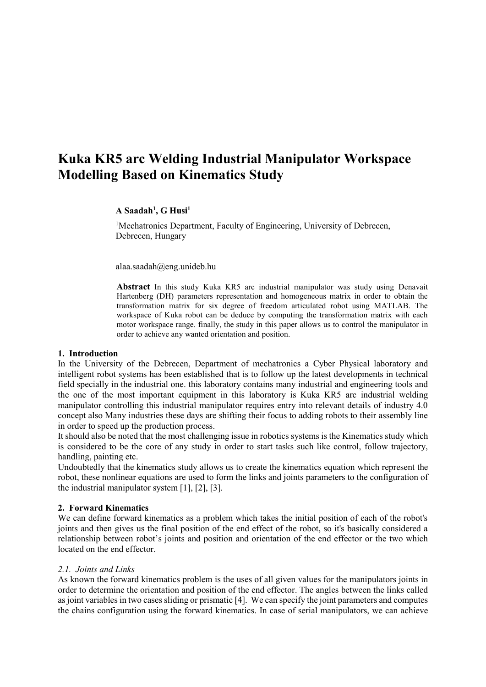# **Kuka KR5 arc Welding Industrial Manipulator Workspace Modelling Based on Kinematics Study**

**A Saadah<sup>1</sup> , G Husi<sup>1</sup>**

<sup>1</sup>Mechatronics Department, Faculty of Engineering, University of Debrecen, Debrecen, Hungary

alaa.saadah@eng.unideb.hu

**Abstract** In this study Kuka KR5 arc industrial manipulator was study using Denavait Hartenberg (DH) parameters representation and homogeneous matrix in order to obtain the transformation matrix for six degree of freedom articulated robot using MATLAB. The workspace of Kuka robot can be deduce by computing the transformation matrix with each motor workspace range. finally, the study in this paper allows us to control the manipulator in order to achieve any wanted orientation and position.

### **1. Introduction**

In the University of the Debrecen, Department of mechatronics a Cyber Physical laboratory and intelligent robot systems has been established that is to follow up the latest developments in technical field specially in the industrial one. this laboratory contains many industrial and engineering tools and the one of the most important equipment in this laboratory is Kuka KR5 arc industrial welding manipulator controlling this industrial manipulator requires entry into relevant details of industry 4.0 concept also Many industries these days are shifting their focus to adding robots to their assembly line in order to speed up the production process.

It should also be noted that the most challenging issue in robotics systems is the Kinematics study which is considered to be the core of any study in order to start tasks such like control, follow trajectory, handling, painting etc.

Undoubtedly that the kinematics study allows us to create the kinematics equation which represent the robot, these nonlinear equations are used to form the links and joints parameters to the configuration of the industrial manipulator system [1], [2], [3].

## **2. Forward Kinematics**

We can define forward kinematics as a problem which takes the initial position of each of the robot's joints and then gives us the final position of the end effect of the robot, so it's basically considered a relationship between robot's joints and position and orientation of the end effector or the two which located on the end effector.

# *2.1. Joints and Links*

As known the forward kinematics problem is the uses of all given values for the manipulators joints in order to determine the orientation and position of the end effector. The angles between the links called as joint variables in two cases sliding or prismatic [4]. We can specify the joint parameters and computes the chains configuration using the forward kinematics. In case of serial manipulators, we can achieve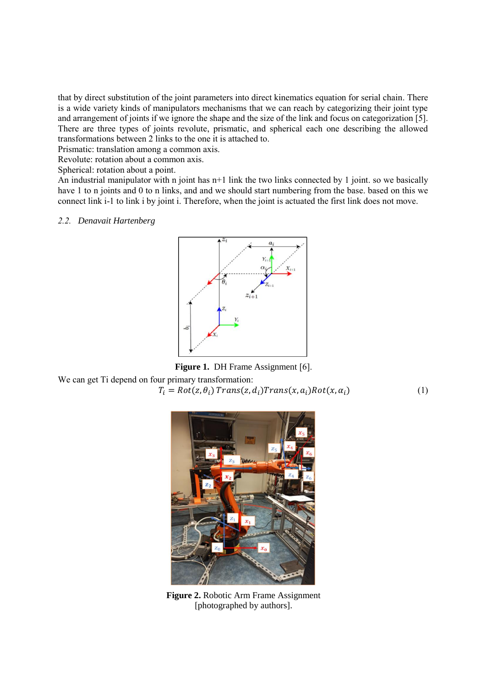that by direct substitution of the joint parameters into direct kinematics equation for serial chain. There is a wide variety kinds of manipulators mechanisms that we can reach by categorizing their joint type and arrangement of joints if we ignore the shape and the size of the link and focus on categorization [5]. There are three types of joints revolute, prismatic, and spherical each one describing the allowed transformations between 2 links to the one it is attached to.

Prismatic: translation among a common axis.

Revolute: rotation about a common axis.

Spherical: rotation about a point.

An industrial manipulator with n joint has n+1 link the two links connected by 1 joint. so we basically have 1 to n joints and 0 to n links, and and we should start numbering from the base. based on this we connect link i-1 to link i by joint i. Therefore, when the joint is actuated the first link does not move.

#### *2.2. Denavait Hartenberg*





We can get Ti depend on four primary transformation:

$$
T_i = Rot(z, \theta_i) \, Trans(z, d_i) Trans(x, a_i) Rot(x, \alpha_i) \tag{1}
$$



**Figure 2.** Robotic Arm Frame Assignment [photographed by authors].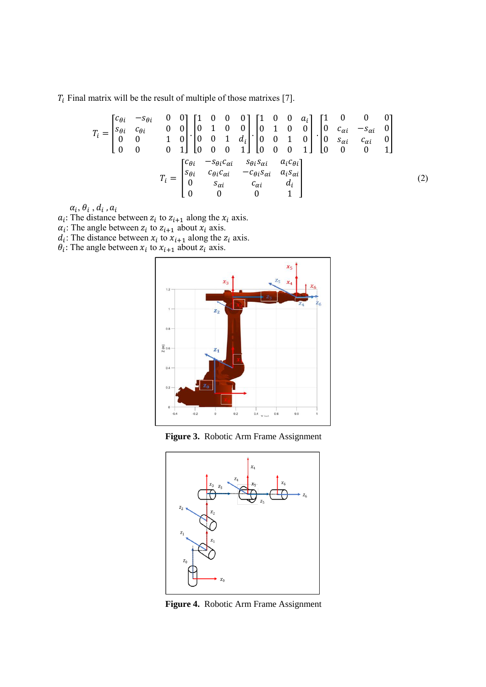$T_i$  Final matrix will be the result of multiple of those matrixes [7].

$$
T_{i} = \begin{bmatrix} c_{\theta i} & -s_{\theta i} & 0 & 0 \\ s_{\theta i} & c_{\theta i} & 0 & 0 \\ 0 & 0 & 1 & 0 \\ 0 & 0 & 0 & 1 \end{bmatrix} \cdot \begin{bmatrix} 1 & 0 & 0 & 0 \\ 0 & 1 & 0 & 0 \\ 0 & 0 & 1 & d_{i} \\ 0 & 0 & 0 & 1 \end{bmatrix} \cdot \begin{bmatrix} 1 & 0 & 0 & a_{i} \\ 0 & 1 & 0 & 0 \\ 0 & 0 & 1 & 0 \\ 0 & 0 & 0 & 1 \end{bmatrix} \cdot \begin{bmatrix} 1 & 0 & 0 & 0 \\ 0 & c_{\alpha i} & -s_{\alpha i} & 0 \\ 0 & s_{\alpha i} & c_{\alpha i} & 0 \\ 0 & 0 & 0 & 1 \end{bmatrix}
$$

$$
T_{i} = \begin{bmatrix} c_{\theta i} & -s_{\theta i} c_{\alpha i} & s_{\theta i} s_{\alpha i} & a_{i} c_{\theta i} \\ s_{\theta i} & c_{\theta i} c_{\alpha i} & -c_{\theta i} s_{\alpha i} & a_{i} s_{\alpha i} \\ 0 & s_{\alpha i} & c_{\alpha i} & d_{i} \\ 0 & 0 & 0 & 1 \end{bmatrix}
$$
(2)

 $\alpha_i$ ,  $\theta_i$  ,  $d_i$  ,  $a_i$ 

 $a_i$ : The distance between  $z_i$  to  $z_{i+1}$  along the  $x_i$  axis.

 $\alpha_i$ : The angle between  $z_i$  to  $z_{i+1}$  about  $x_i$  axis.

 $d_i$ : The distance between  $x_i$  to  $x_{i+1}$  along the  $z_i$  axis.

 $\theta_i$ : The angle between  $x_i$  to  $x_{i+1}$  about  $z_i$  axis.



**Figure 3.** Robotic Arm Frame Assignment



**Figure 4.** Robotic Arm Frame Assignment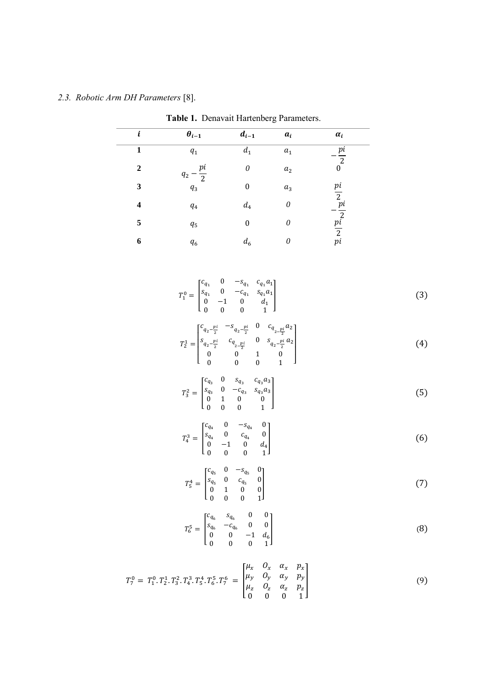# *2.3. Robotic Arm DH Parameters* [8].

| $\boldsymbol{i}$        | $\theta_{i-1}$                                                                                                                                                                                                             | $d_{i-1}$                                                                                                                                                                                                                                                                                                                                                             | $a_i$                     | $\alpha_i$                                                                        |            |
|-------------------------|----------------------------------------------------------------------------------------------------------------------------------------------------------------------------------------------------------------------------|-----------------------------------------------------------------------------------------------------------------------------------------------------------------------------------------------------------------------------------------------------------------------------------------------------------------------------------------------------------------------|---------------------------|-----------------------------------------------------------------------------------|------------|
| $\mathbf{1}$            | $q_1$                                                                                                                                                                                                                      | $d_1$                                                                                                                                                                                                                                                                                                                                                                 | $a_1$                     | $\frac{pi}{2}$<br>0                                                               |            |
| $\mathbf 2$             | $q_2-\frac{pi}{2}$                                                                                                                                                                                                         | $\mathcal O$                                                                                                                                                                                                                                                                                                                                                          | $\boldsymbol{a}_2$        |                                                                                   |            |
| 3                       | $q_3$                                                                                                                                                                                                                      | $\mathbf{0}$                                                                                                                                                                                                                                                                                                                                                          | $a_3$                     |                                                                                   |            |
| $\overline{\mathbf{4}}$ | $\mathfrak{q}_4$                                                                                                                                                                                                           | $d_4$                                                                                                                                                                                                                                                                                                                                                                 | $\boldsymbol{\theta}$     |                                                                                   |            |
| 5                       | $q_{5}$                                                                                                                                                                                                                    | $\bf{0}$                                                                                                                                                                                                                                                                                                                                                              | $\boldsymbol{\mathit{0}}$ | $\begin{array}{c} \frac{pi}{2}\\ -\frac{pi}{2}\\ \frac{pi}{2}\\ pi\\ \end{array}$ |            |
| $\boldsymbol{6}$        | $\mathfrak{q}_6$                                                                                                                                                                                                           | $d_6$                                                                                                                                                                                                                                                                                                                                                                 | $\overline{\mathcal{O}}$  |                                                                                   |            |
|                         |                                                                                                                                                                                                                            | $T_1^0 = \begin{bmatrix} c_{q_1} & 0 & -s_{q_1} & c_{q_1}a_1 \\ s_{q_1} & 0 & -c_{q_1} & s_{q_1}a_1 \\ 0 & -1 & 0 & d_1 \\ . & . & . & . \end{bmatrix}$<br>$T_2^1=\begin{bmatrix} c_{q_2-\frac{pi}{2}}&-s_{q_2-\frac{pi}{2}}&0&c_{q_{_2-\frac{pi}{2}}}a_2\\ s_{q_2-\frac{pi}{2}}&c_{q_{_2-\frac{pi}{2}}}&0&s_{q_2-\frac{pi}{2}}a_2\\ 0&0&1&0\\ 0&0&0&1 \end{bmatrix}$ |                           |                                                                                   | (3)<br>(4) |
|                         |                                                                                                                                                                                                                            | $T_3^2 = \begin{bmatrix} c_{q_3} & 0 & s_{q_3} & c_{q_3}a_3 \\ s_{q_3} & 0 & -c_{q_3} & s_{q_3}a_3 \\ 0 & 1 & 0 & 0 \\ \end{bmatrix}$                                                                                                                                                                                                                                 |                           |                                                                                   | (5)        |
|                         |                                                                                                                                                                                                                            | $T_4^3 = \begin{bmatrix} c_{q_4} & 0 & -s_{q_4} & 0 \\ s_{q_4} & 0 & c_{q_4} & 0 \\ 0 & -1 & 0 & d_4 \\ 0 & 0 & 0 & 1 \end{bmatrix}$                                                                                                                                                                                                                                  |                           |                                                                                   | (6)        |
|                         |                                                                                                                                                                                                                            | $T_5^4 = \begin{bmatrix} c_{q_5} & 0 & -s_{q_5} & 0 \\ s_{q_5} & 0 & c_{q_5} & 0 \\ 0 & 1 & 0 & 0 \\ 0 & 0 & 0 & 1 \end{bmatrix}$                                                                                                                                                                                                                                     |                           |                                                                                   | (7)        |
|                         |                                                                                                                                                                                                                            | $T_6^5 = \begin{bmatrix} c_{q_6} & s_{q_6} & 0 & 0 \\ s_{q_6} & -c_{q_6} & 0 & 0 \\ 0 & 0 & -1 & d_6 \\ 0 & 0 & 0 & 0 \end{bmatrix}$                                                                                                                                                                                                                                  |                           |                                                                                   | (8)        |
|                         | $T_7^0 = T_1^0 \t T_2^1 \t T_3^2 \t T_4^3 \t T_5^4 \t T_6^5 \t T_7^6 = \begin{bmatrix} \mu_x & \sigma_x & \alpha_x & \mu_x \\ \mu_y & O_y & \alpha_y & p_y \\ \mu_z & O_z & \alpha_z & p_z \\ 0 & 0 & 0 & 1 \end{bmatrix}$ |                                                                                                                                                                                                                                                                                                                                                                       |                           |                                                                                   | (9)        |

**Table 1.** Denavait Hartenberg Parameters.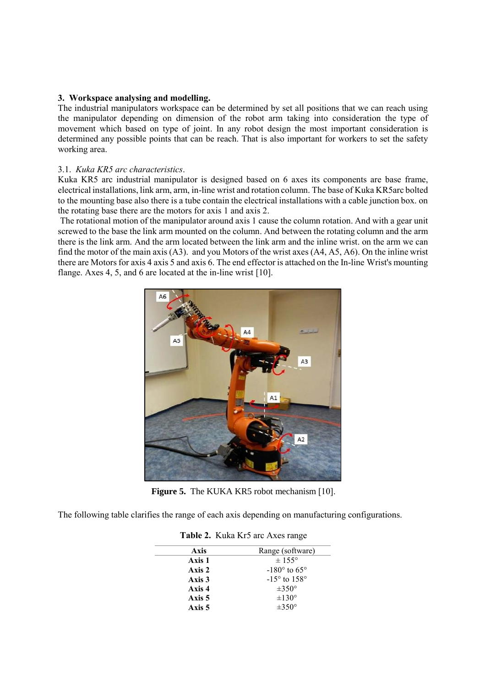### **3. Workspace analysing and modelling.**

The industrial manipulators workspace can be determined by set all positions that we can reach using the manipulator depending on dimension of the robot arm taking into consideration the type of movement which based on type of joint. In any robot design the most important consideration is determined any possible points that can be reach. That is also important for workers to set the safety working area.

### 3.1. *Kuka KR5 arc characteristics*.

Kuka KR5 arc industrial manipulator is designed based on 6 axes its components are base frame, electrical installations, link arm, arm, in-line wrist and rotation column. The base of Kuka KR5arc bolted to the mounting base also there is a tube contain the electrical installations with a cable junction box. on the rotating base there are the motors for axis 1 and axis 2.

The rotational motion of the manipulator around axis 1 cause the column rotation. And with a gear unit screwed to the base the link arm mounted on the column. And between the rotating column and the arm there is the link arm. And the arm located between the link arm and the inline wrist. on the arm we can find the motor of the main axis (A3). and you Motors of the wrist axes (A4, A5, A6). On the inline wrist there are Motors for axis 4 axis 5 and axis 6. The end effector is attached on the In-line Wrist's mounting flange. Axes 4, 5, and 6 are located at the in-line wrist [10].



Figure 5. The KUKA KR5 robot mechanism [10].

The following table clarifies the range of each axis depending on manufacturing configurations.

| Axis   | Range (software)               |
|--------|--------------------------------|
| Axis 1 | $\pm$ 155°                     |
| Axis 2 | $-180^\circ$ to 65°            |
| Axis 3 | $-15^{\circ}$ to $158^{\circ}$ |
| Axis 4 | $\pm 350^\circ$                |
| Axis 5 | $\pm 130^\circ$                |
| Axis 5 | $+350^\circ$                   |

| Table 2. Kuka Kr5 arc Axes range |  |  |  |  |  |
|----------------------------------|--|--|--|--|--|
|----------------------------------|--|--|--|--|--|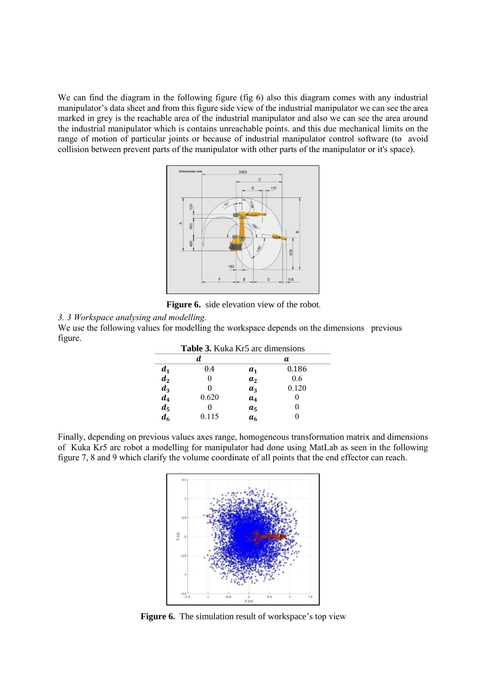We can find the diagram in the following figure (fig 6) also this diagram comes with any industrial manipulator's data sheet and from this figure side view of the industrial manipulator we can see the area marked in grey is the reachable area of the industrial manipulator and also we can see the area around the industrial manipulator which is contains unreachable points. and this due mechanical limits on the range of motion of particular joints or because of industrial manipulator control software (to avoid collision between prevent parts of the manipulator with other parts of the manipulator or it's space).



**Figure 6.** side elevation view of the robot.

*3. 3 Workspace analysing and modelling.*

We use the following values for modelling the workspace depends on the dimensions previous figure.

| <b>Table 3.</b> Kuka Kr5 arc dimensions |       |                |       |  |  |
|-----------------------------------------|-------|----------------|-------|--|--|
|                                         | d.    |                | а     |  |  |
| $d_1$                                   | 0.4   | $a_{1}$        | 0.186 |  |  |
| $d_2$                                   |       | a <sub>2</sub> | 0.6   |  |  |
|                                         |       | $a_3$          | 0.120 |  |  |
| $\frac{d_3}{d_4}$                       | 0.620 | a <sub>4</sub> |       |  |  |
|                                         |       | a <sub>5</sub> |       |  |  |
| d <sub>6</sub>                          | 0.115 | a <sub>6</sub> |       |  |  |

Finally, depending on previous values axes range, homogeneous transformation matrix and dimensions of Kuka Kr5 arc robot a modelling for manipulator had done using MatLab as seen in the following figure 7, 8 and 9 which clarify the volume coordinate of all points that the end effector can reach.



**Figure 6.** The simulation result of workspace's top view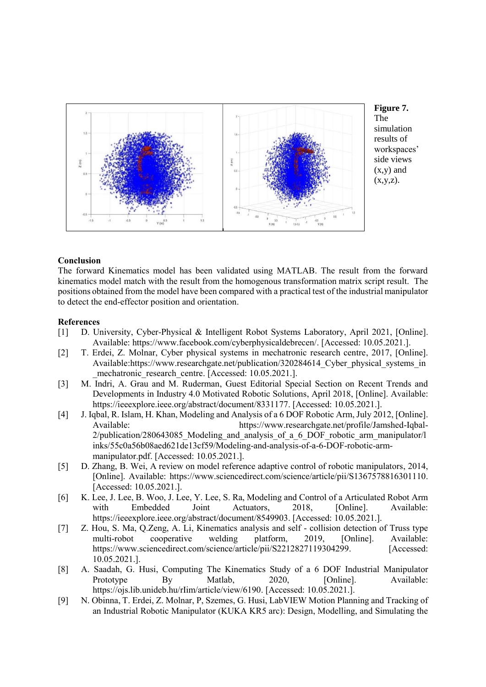

**Figure 7.**  simulation results of workspaces' side views (x,y) and  $(x,y,z)$ .

### **Conclusion**

The forward Kinematics model has been validated using MATLAB. The result from the forward kinematics model match with the result from the homogenous transformation matrix script result. The positions obtained from the model have been compared with a practical test of the industrial manipulator to detect the end-effector position and orientation.

### **References**

- [1] D. University, Cyber-Physical & Intelligent Robot Systems Laboratory, April 2021, [Online]. Available: https://www.facebook.com/cyberphysicaldebrecen/. [Accessed: 10.05.2021.].
- [2] T. Erdei, Z. Molnar, Cyber physical systems in mechatronic research centre, 2017, [Online]. Available:https://www.researchgate.net/publication/320284614 Cyber\_physical\_systems\_in mechatronic research centre. [Accessed: 10.05.2021.].
- [3] M. Indri, A. Grau and M. Ruderman, Guest Editorial Special Section on Recent Trends and Developments in Industry 4.0 Motivated Robotic Solutions, April 2018, [Online]. Available: https://ieeexplore.ieee.org/abstract/document/8331177. [Accessed: 10.05.2021.].
- [4] J. Iqbal, R. Islam, H. Khan, Modeling and Analysis of a 6 DOF Robotic Arm, July 2012, [Online]. https://www.researchgate.net/profile/Jamshed-Iqbal-2/publication/280643085 Modeling and analysis of a 6 DOF robotic arm manipulator/l inks/55c0a56b08aed621de13cf59/Modeling-and-analysis-of-a-6-DOF-robotic-armmanipulator.pdf. [Accessed: 10.05.2021.].
- [5] D. Zhang, B. Wei, A review on model reference adaptive control of robotic manipulators, 2014, [Online]. Available: https://www.sciencedirect.com/science/article/pii/S1367578816301110. [Accessed: 10.05.2021.].
- [6] K. Lee, J. Lee, B. Woo, J. Lee, Y. Lee, S. Ra, Modeling and Control of a Articulated Robot Arm with Embedded Joint Actuators, 2018, [Online]. Available: https://ieeexplore.ieee.org/abstract/document/8549903. [Accessed: 10.05.2021.].
- [7] Z. Hou, S. Ma, Q.Zeng, A. Li, Kinematics analysis and self collision detection of Truss type multi-robot cooperative welding platform, 2019, [Online]. Available: https://www.sciencedirect.com/science/article/pii/S2212827119304299. [Accessed: 10.05.2021.].
- [8] A. Saadah, G. Husi, Computing The Kinematics Study of a 6 DOF Industrial Manipulator Prototype By Matlab, 2020, [Online]. Available: https://ojs.lib.unideb.hu/rIim/article/view/6190. [Accessed: 10.05.2021.].
- [9] N. Obinna, T. Erdei, Z. Molnar, P, Szemes, G. Husi, LabVIEW Motion Planning and Tracking of an Industrial Robotic Manipulator (KUKA KR5 arc): Design, Modelling, and Simulating the